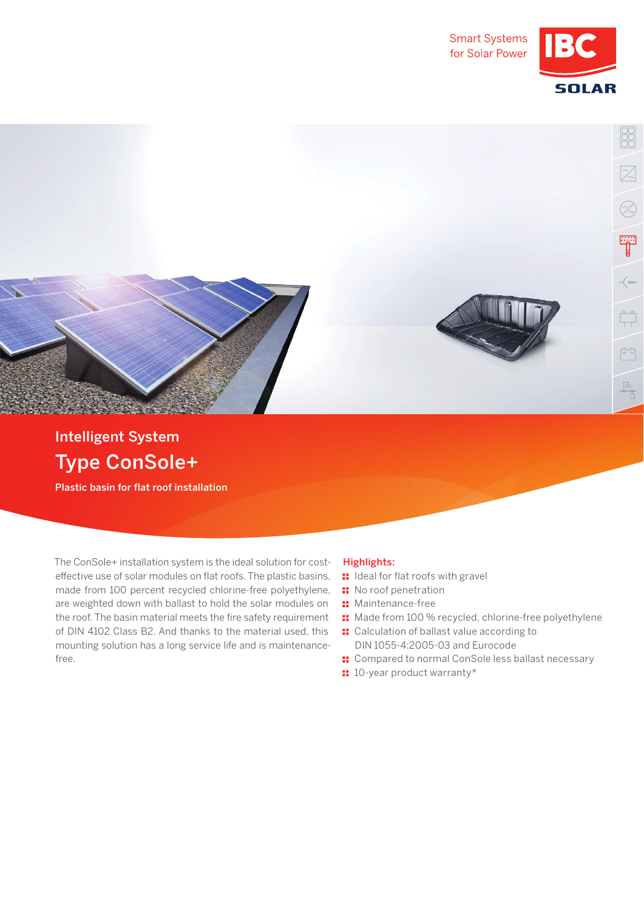



## Type ConSole+ Intelligent System

Plastic basin for flat roof installation

The ConSole+ installation system is the ideal solution for costeffective use of solar modules on flat roofs. The plastic basins, made from 100 percent recycled chlorine-free polyethylene, are weighted down with ballast to hold the solar modules on the roof. The basin material meets the fire safety requirement of DIN 4102 Class B2. And thanks to the material used, this mounting solution has a long service life and is maintenancefree.

## Highlights:

- **II** Ideal for flat roofs with gravel
- **::** No roof penetration
- **::** Maintenance-free
- Made from 100 % recycled, chlorine-free polyethylene
- **::** Calculation of ballast value according to DIN 1055-4:2005-03 and Eurocode
- **::** Compared to normal ConSole less ballast necessary
- $\blacksquare$  10-year product warranty\*